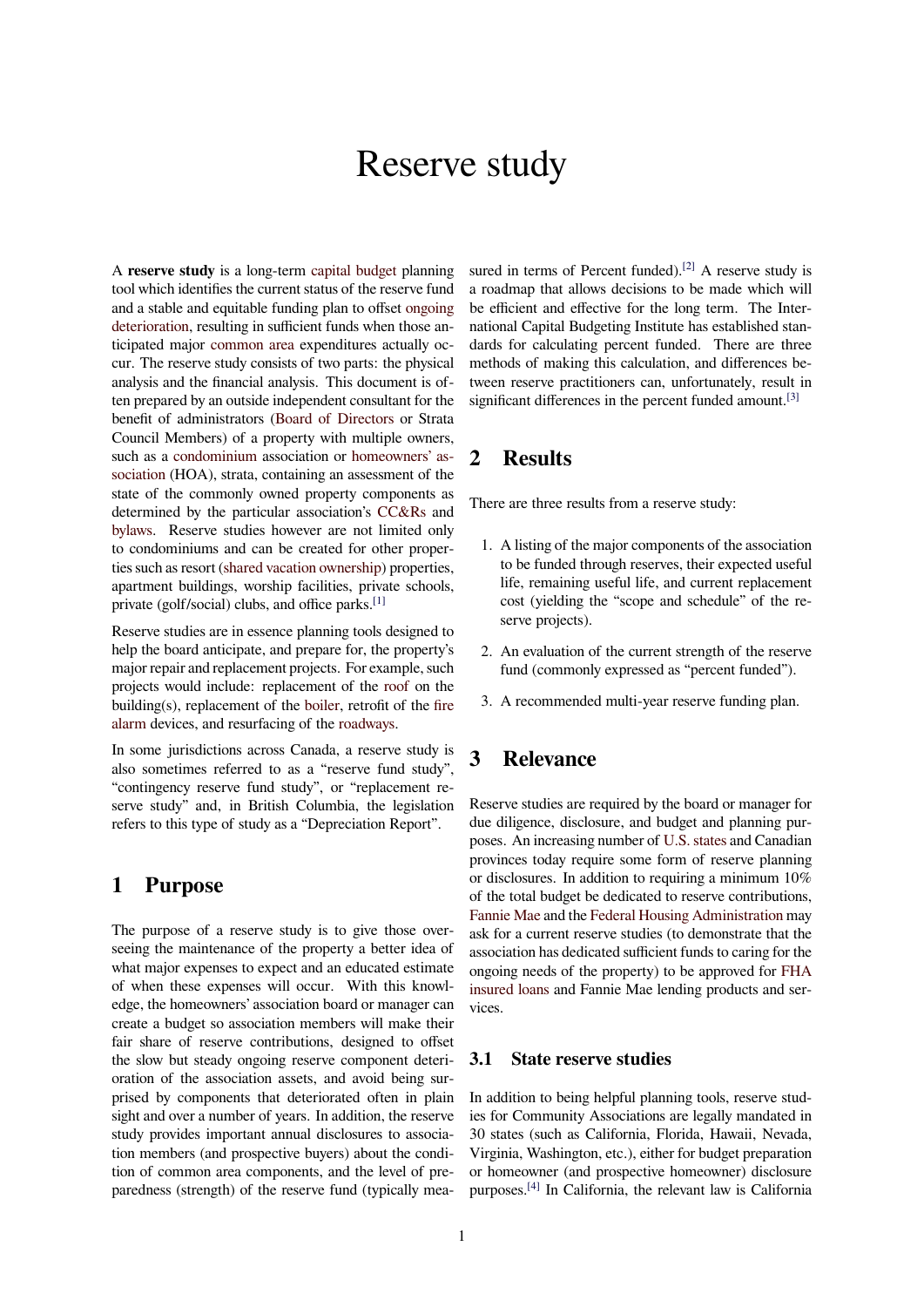# Reserve study

A **reserve study** is a long-term capital budget planning tool which identifies the current status of the reserve fund and a stable and equitable funding plan to offset ongoing deterioration, resulting in sufficient funds when those anticipated major common area e[xpenditures act](https://en.wikipedia.org/wiki/Capital_budget)ually occur. The reserve study consists of two parts: the physical analysis and the financial analysis. This docum[ent is of](https://en.wikipedia.org/wiki/Wear)[ten prepared](https://en.wikipedia.org/wiki/Wear) by an outside independent consultant for the benefit of admi[nistrators \(Boa](https://en.wikipedia.org/wiki/Common_area)rd of Directors or Strata Council Members) of a property with multiple owners, such as a condominium association or homeowners' association (HOA), strata, containing an assessment of the state of the commonly o[wned property comp](https://en.wikipedia.org/wiki/Board_of_Directors)onents as determined by the particular association's CC&Rs and bylaws. [Reserve studie](https://en.wikipedia.org/wiki/Condominium)s however are [not limited only](https://en.wikipedia.org/wiki/Homeowners%2527_association) [to condom](https://en.wikipedia.org/wiki/Homeowners%2527_association)iniums and can be created for other properties such as resort (shared vacation ownership) properties, apartment buildings, worship facilities, pri[vate scho](https://en.wikipedia.org/wiki/CC&R)ols, [private](https://en.wikipedia.org/wiki/Bylaw) (golf/social) clubs, and office parks.[1]

Reserve studies are in essence planning tools designed to help the board ant[icipate, and prepare for, th](https://en.wikipedia.org/wiki/Shared_vacation_ownership)e property's major repair and replacement projects. For [exa](#page-3-0)mple, such projects would include: replacement of the roof on the building(s), replacement of the boiler, retrofit of the fire alarm devices, and resurfacing of the roadways.

In some jurisdictions across Canada, a reserve study is also sometimes referred to as a "reservef[und](https://en.wikipedia.org/wiki/Roof) study", "contingency reserve fund stu[dy", or](https://en.wikipedia.org/wiki/Boiler) "replacement [re](https://en.wikipedia.org/wiki/Fire_alarm)[serve](https://en.wikipedia.org/wiki/Fire_alarm) study" and, in British Colum[bia, the l](https://en.wikipedia.org/wiki/Roadway)egislation refers to this type of study as a "Depreciation Report".

## **1 Purpose**

The purpose of a reserve study is to give those overseeing the maintenance of the property a better idea of what major expenses to expect and an educated estimate of when these expenses will occur. With this knowledge, the homeowners' association board or manager can create a budget so association members will make their fair share of reserve contributions, designed to offset the slow but steady ongoing reserve component deterioration of the association assets, and avoid being surprised by components that deteriorated often in plain sight and over a number of years. In addition, the reserve study provides important annual disclosures to association members (and prospective buyers) about the condition of common area components, and the level of preparedness (strength) of the reserve fund (typically measured in terms of Percent funded).<sup>[2]</sup> A reserve study is a roadmap that allows decisions to be made which will be efficient and effective for the long term. The International Capital Budgeting Institute has established standards for calculating percent fun[ded](#page-3-1). There are three methods of making this calculation, and differences between reserve practitioners can, unfortunately, result in significant differences in the percent funded amount.<sup>[3]</sup>

# **2 Results**

There are three results from a reserve study:

- 1. A listing of the major components of the association to be funded through reserves, their expected useful life, remaining useful life, and current replacement cost (yielding the "scope and schedule" of the reserve projects).
- 2. An evaluation of the current strength of the reserve fund (commonly expressed as "percent funded").
- 3. A recommended multi-year reserve funding plan.

# **3 Relevance**

Reserve studies are required by the board or manager for due diligence, disclosure, and budget and planning purposes. An increasing number of U.S. states and Canadian provinces today require some form of reserve planning or disclosures. In addition to requiring a minimum 10% of the total budget be dedicated to reserve contributions, Fannie Mae and the Federal Ho[using Admi](https://en.wikipedia.org/wiki/U.S._states)nistration may ask for a current reserve studies (to demonstrate that the association has dedicated sufficient funds to caring for the ongoing needs of the property) to be approved for FHA [insured loan](https://en.wikipedia.org/wiki/Fannie_Mae)s and F[annie Mae lending products and](https://en.wikipedia.org/wiki/Federal_Housing_Administration) services.

#### **[3.1 State](https://en.wikipedia.org/wiki/FHA_insured_loan) reserve studies**

In addition to being helpful planning tools, reserve studies for Community Associations are legally mandated in 30 states (such as California, Florida, Hawaii, Nevada, Virginia, Washington, etc.), either for budget preparation or homeowner (and prospective homeowner) disclosure purposes.[4] In California, the relevant law is California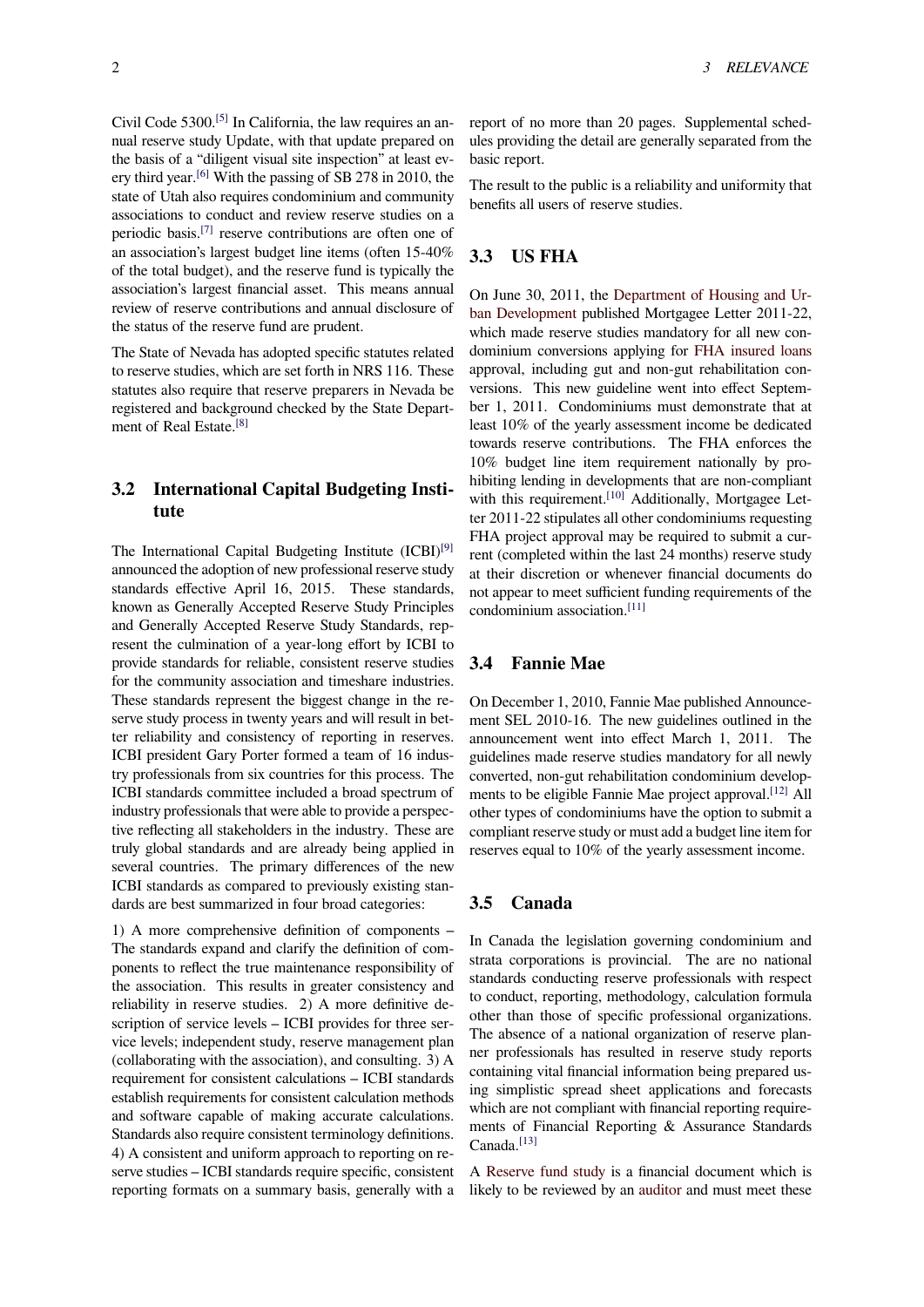Civil Code 5300.[5] In California, the law requires an annual reserve study Update, with that update prepared on the basis of a "diligent visual site inspection" at least every third year.[6] With the passing of SB 278 in 2010, the state of Utah als[o re](#page-3-2)quires condominium and community associations to conduct and review reserve studies on a periodic basis.[7] reserve contributions are often one of an association['s](#page-3-3) largest budget line items (often 15-40% of the total budget), and the reserve fund is typically the association's largest financial asset. This means annual review of rese[rve](#page-3-4) contributions and annual disclosure of the status of the reserve fund are prudent.

The State of Nevada has adopted specific statutes related to reserve studies, which are set forth in NRS 116. These statutes also require that reserve preparers in Nevada be registered and background checked by the State Department of Real Estate.[8]

## **3.2 Internatio[na](#page-3-5)l Capital Budgeting Institute**

The International Capital Budgeting Institute (ICBI)<sup>[9]</sup> announced the adoption of new professional reserve study standards effective April 16, 2015. These standards, known as Generally Accepted Reserve Study Principles and Generally Accepted Reserve Study Standards, r[ep](#page-3-6)resent the culmination of a year-long effort by ICBI to provide standards for reliable, consistent reserve studies for the community association and timeshare industries. These standards represent the biggest change in the reserve study process in twenty years and will result in better reliability and consistency of reporting in reserves. ICBI president Gary Porter formed a team of 16 industry professionals from six countries for this process. The ICBI standards committee included a broad spectrum of industry professionals that were able to provide a perspective reflecting all stakeholders in the industry. These are truly global standards and are already being applied in several countries. The primary differences of the new ICBI standards as compared to previously existing standards are best summarized in four broad categories:

1) A more comprehensive definition of components – The standards expand and clarify the definition of components to reflect the true maintenance responsibility of the association. This results in greater consistency and reliability in reserve studies. 2) A more definitive description of service levels – ICBI provides for three service levels; independent study, reserve management plan (collaborating with the association), and consulting. 3) A requirement for consistent calculations – ICBI standards establish requirements for consistent calculation methods and software capable of making accurate calculations. Standards also require consistent terminology definitions. 4) A consistent and uniform approach to reporting on reserve studies – ICBI standards require specific, consistent reporting formats on a summary basis, generally with a

report of no more than 20 pages. Supplemental schedules providing the detail are generally separated from the basic report.

The result to the public is a reliability and uniformity that benefits all users of reserve studies.

### **3.3 US FHA**

On June 30, 2011, the Department of Housing and Urban Development published Mortgagee Letter 2011-22, which made reserve studies mandatory for all new condominium conversions applying for FHA insured loans approval, including gut [and non-gut rehabilitation con](https://en.wikipedia.org/wiki/United_States_Department_of_Housing_and_Urban_Development)[versions. This ne](https://en.wikipedia.org/wiki/United_States_Department_of_Housing_and_Urban_Development)w guideline went into effect September 1, 2011. Condominiums must demonstrate that at least 10% of the yearly assessmenti[ncome be dedicated](https://en.wikipedia.org/wiki/FHA_insured_loan) towards reserve contributions. The FHA enforces the 10% budget line item requirement nationally by prohibiting lending in developments that are non-compliant with this requirement.<sup>[10]</sup> Additionally, Mortgagee Letter 2011-22 stipulates all other condominiums requesting FHA project approval may be required to submit a current (completed within the last 24 months) reserve study at their discretion or [whe](#page-3-7)never financial documents do not appear to meet sufficient funding requirements of the condominium association.[11]

#### **3.4 Fannie Mae**

On December 1, 2010, Fannie Mae published Announcement SEL 2010-16. The new guidelines outlined in the announcement went into effect March 1, 2011. The guidelines made reserve studies mandatory for all newly converted, non-gut rehabilitation condominium developments to be eligible Fannie Mae project approval.<sup>[12]</sup> All other types of condominiums have the option to submit a compliant reserve study or must add a budget line item for reserves equal to 10% of the yearly assessment income.

#### **3.5 Canada**

In Canada the legislation governing condominium and strata corporations is provincial. The are no national standards conducting reserve professionals with respect to conduct, reporting, methodology, calculation formula other than those of specific professional organizations. The absence of a national organization of reserve planner professionals has resulted in reserve study reports containing vital financial information being prepared using simplistic spread sheet applications and forecasts which are not compliant with financial reporting requirements of Financial Reporting & Assurance Standards Canada.<sup>[13]</sup>

A Reserve fund study is a financial document which is likely to be reviewed by an auditor and must meet these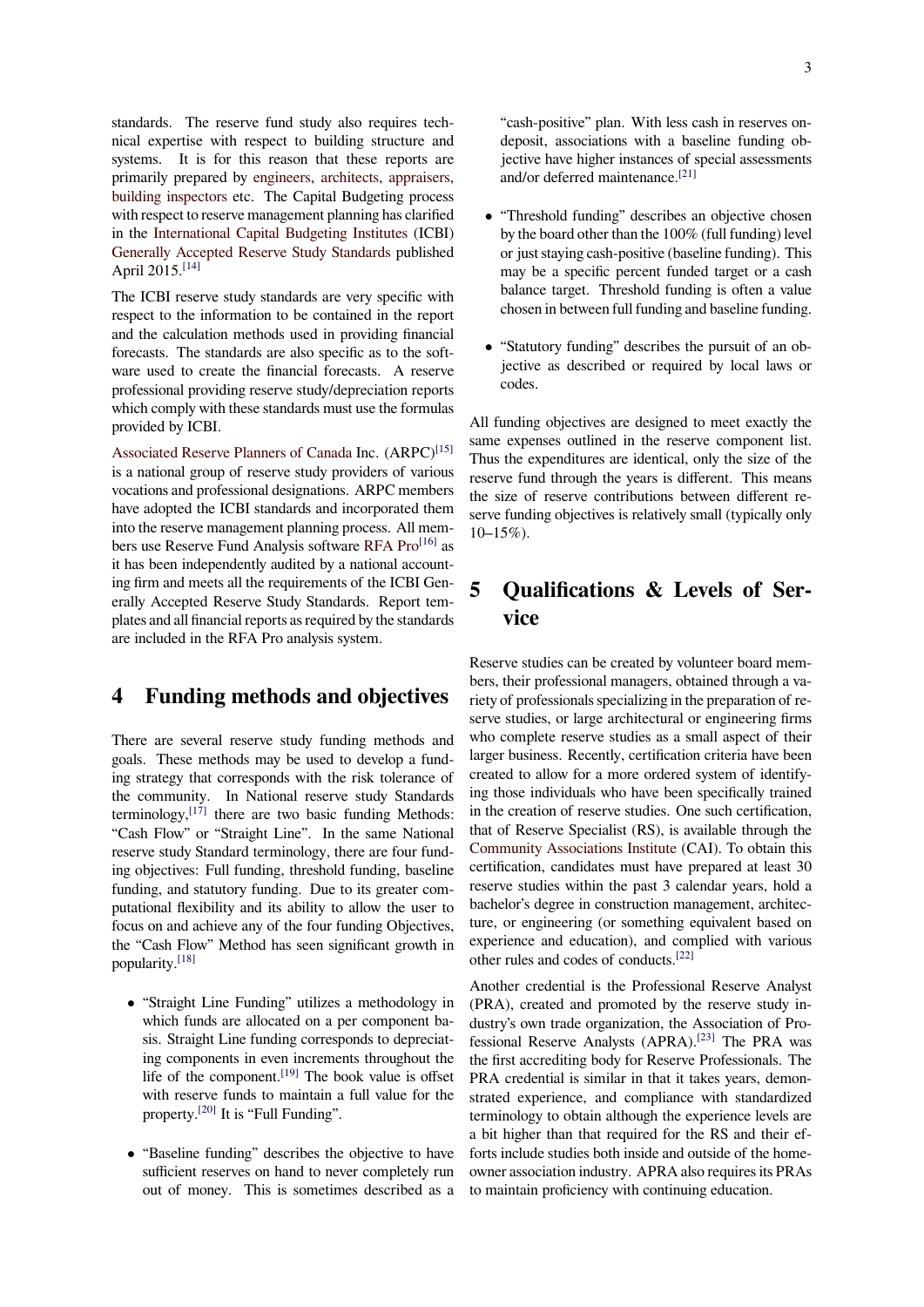standards. The reserve fund study also requires technical expertise with respect to building structure and systems. It is for this reason that these reports are primarily prepared by engineers, architects, appraisers, building inspectors etc. The Capital Budgeting process with respect to reserve management planning has clarified in the International Capital Budgeting Institutes (ICBI) Generally Accepted R[eserve Stu](https://en.wikipedia.org/wiki/Engineer)d[y Standard](https://en.wikipedia.org/wiki/Architect)s [published](https://en.wikipedia.org/wiki/Appraiser) [April 2015.](https://en.wikipedia.org/wiki/Building_inspector)[14]

The ICBI reserve study standards are very specific with respec[t to the information to be contained in the](https://en.wikipedia.org/wiki/International_Capital_Budgeting_Institute) report [and the calculation methods used in providing](https://en.wikipedia.org/wiki/Generally_Accepted_Reserve_Study_Standards) financial forecasts. The standards are also specific as to the software used to create the financial forecasts. A reserve professional providing reserve study/depreciation reports which comply with these standards must use the formulas provided by ICBI.

Associated Reserve Planners of Canada Inc. (ARPC)<sup>[15]</sup> is a national group of reserve study providers of various vocations and professional designations. ARPC members have adopted the ICBI standards and incorporated them [into the reserve management planning pr](https://en.wikipedia.org/wiki/Associated_Reserve_Planners_of_Canada)ocess. All m[em](#page-3-9)bers use Reserve Fund Analysis software RFA Pro<sup>[16]</sup> as it has been independently audited by a national accounting firm and meets all the requirements of the ICBI Generally Accepted Reserve Study Standards. Report templates and all financial reports as required [by the stan](https://en.wikipedia.org/wiki/RFA_Pro)[dar](#page-3-10)ds are included in the RFA Pro analysis system.

# **4 Funding methods and objectives**

There are several reserve study funding methods and goals. These methods may be used to develop a funding strategy that corresponds with the risk tolerance of the community. In National reserve study Standards terminology, $[17]$  there are two basic funding Methods: "Cash Flow" or "Straight Line". In the same National reserve study Standard terminology, there are four funding objectives: Full funding, threshold funding, baseline funding, and [sta](#page-3-11)tutory funding. Due to its greater computational flexibility and its ability to allow the user to focus on and achieve any of the four funding Objectives, the "Cash Flow" Method has seen significant growth in popularity.[18]

- *•* "Straight Line Funding" utilizes a methodology in which funds are allocated on a per component basis. S[traig](#page-3-12)ht Line funding corresponds to depreciating components in even increments throughout the life of the component.  $[19]$  The book value is offset with reserve funds to maintain a full value for the property.[20] It is "Full Funding".
- *•* "Baseline funding" de[scri](#page-3-13)bes the objective to have sufficient reserves on hand to never completely run out of [mone](#page-3-14)y. This is sometimes described as a

"cash-positive" plan. With less cash in reserves ondeposit, associations with a baseline funding objective have higher instances of special assessments and/or deferred maintenance.[21]

- "Threshold funding" describes an objective chosen by the board other than the 100% (full funding) level or just staying cash-positive ([base](#page-4-0)line funding). This may be a specific percent funded target or a cash balance target. Threshold funding is often a value chosen in between full funding and baseline funding.
- *•* "Statutory funding" describes the pursuit of an objective as described or required by local laws or codes.

All funding objectives are designed to meet exactly the same expenses outlined in the reserve component list. Thus the expenditures are identical, only the size of the reserve fund through the years is different. This means the size of reserve contributions between different reserve funding objectives is relatively small (typically only  $10-15%$ ).

# **5 Qualifications & Levels of Service**

Reserve studies can be created by volunteer board members, their professional managers, obtained through a variety of professionals specializing in the preparation of reserve studies, or large architectural or engineering firms who complete reserve studies as a small aspect of their larger business. Recently, certification criteria have been created to allow for a more ordered system of identifying those individuals who have been specifically trained in the creation of reserve studies. One such certification, that of Reserve Specialist (RS), is available through the Community Associations Institute (CAI). To obtain this certification, candidates must have prepared at least 30 reserve studies within the past 3 calendar years, hold a bachelor's degree in construction management, architec[ture, or engineering \(or somethin](https://en.wikipedia.org/wiki/Community_Associations_Institute)g equivalent based on experience and education), and complied with various other rules and codes of conducts.[22]

Another credential is the Professional Reserve Analyst (PRA), created and promoted by the reserve study industry's own trade organization, the Association of Professional Reserve Analysts (AP[RA\).](#page-4-1)[23] The PRA was the first accrediting body for Reserve Professionals. The PRA credential is similar in that it takes years, demonstrated experience, and compliance with standardized terminology to obtain although the e[xper](#page-4-2)ience levels are a bit higher than that required for the RS and their efforts include studies both inside and outside of the homeowner association industry. APRA also requires its PRAs to maintain proficiency with continuing education.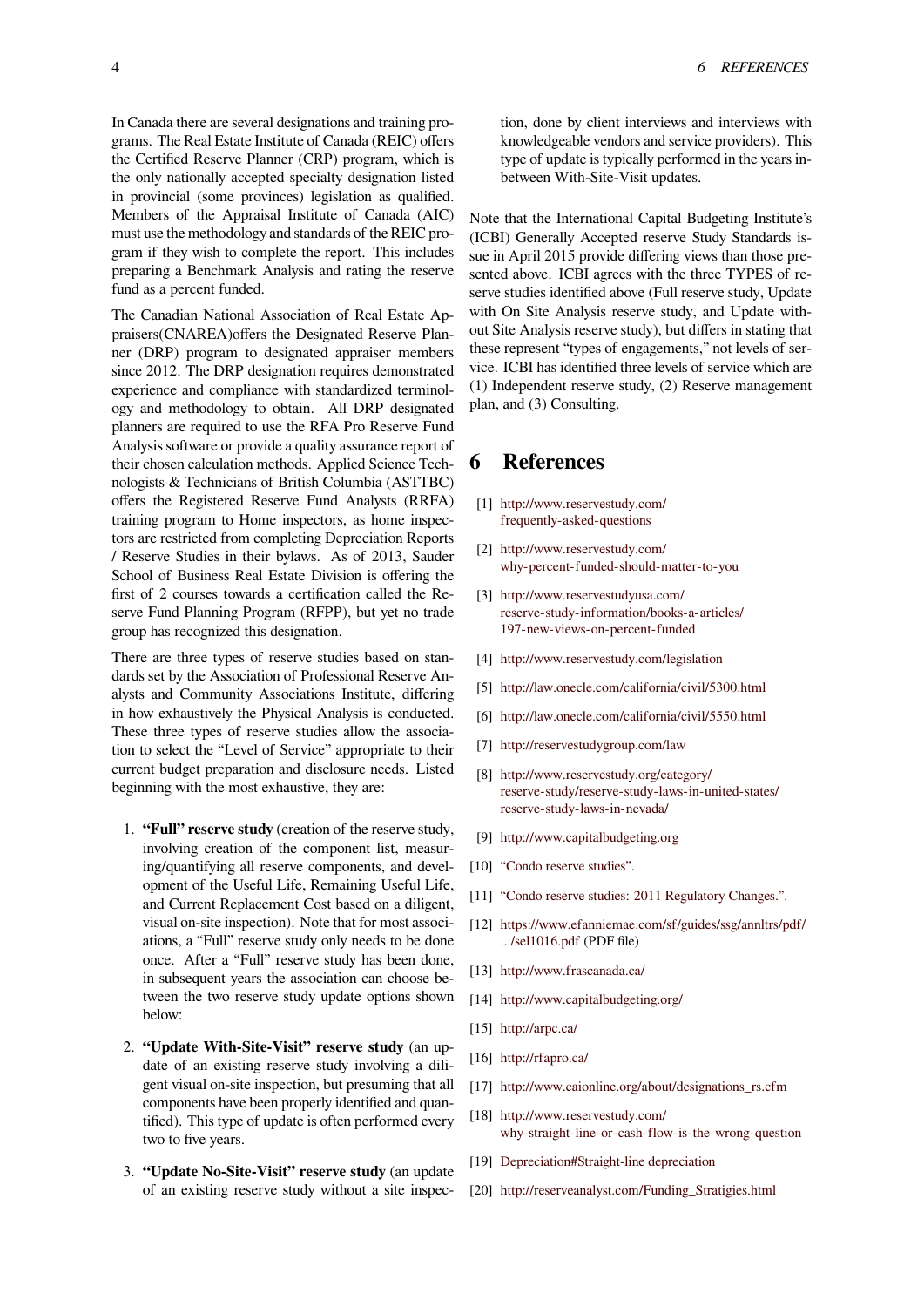In Canada there are several designations and training programs. The Real Estate Institute of Canada (REIC) offers the Certified Reserve Planner (CRP) program, which is the only nationally accepted specialty designation listed in provincial (some provinces) legislation as qualified. Members of the Appraisal Institute of Canada (AIC) must use the methodology and standards of the REIC program if they wish to complete the report. This includes preparing a Benchmark Analysis and rating the reserve fund as a percent funded.

The Canadian National Association of Real Estate Appraisers(CNAREA)offers the Designated Reserve Planner (DRP) program to designated appraiser members since 2012. The DRP designation requires demonstrated experience and compliance with standardized terminology and methodology to obtain. All DRP designated planners are required to use the RFA Pro Reserve Fund Analysis software or provide a quality assurance report of their chosen calculation methods. Applied Science Technologists & Technicians of British Columbia (ASTTBC) offers the Registered Reserve Fund Analysts (RRFA) training program to Home inspectors, as home inspectors are restricted from completing Depreciation Reports / Reserve Studies in their bylaws. As of 2013, Sauder School of Business Real Estate Division is offering the first of 2 courses towards a certification called the Reserve Fund Planning Program (RFPP), but yet no trade group has recognized this designation.

There are three types of reserve studies based on standards set by the Association of Professional Reserve Analysts and Community Associations Institute, differing in how exhaustively the Physical Analysis is conducted. These three types of reserve studies allow the association to select the "Level of Service" appropriate to their current budget preparation and disclosure needs. Listed beginning with the most exhaustive, they are:

- 1. **"Full" reserve study** (creation of the reserve study, involving creation of the component list, measuring/quantifying all reserve components, and development of the Useful Life, Remaining Useful Life, and Current Replacement Cost based on a diligent, visual on-site inspection). Note that for most associations, a "Full" reserve study only needs to be done once. After a "Full" reserve study has been done, in subsequent years the association can choose between the two reserve study update options shown below:
- 2. **"Update With-Site-Visit" reserve study** (an update of an existing reserve study involving a diligent visual on-site inspection, but presuming that all components have been properly identified and quantified). This type of update is often performed every two to five years.
- 3. **"Update No-Site-Visit" reserve study** (an update of an existing reserve study without a site inspec-

tion, done by client interviews and interviews with knowledgeable vendors and service providers). This type of update is typically performed in the years inbetween With-Site-Visit updates.

Note that the International Capital Budgeting Institute's (ICBI) Generally Accepted reserve Study Standards issue in April 2015 provide differing views than those presented above. ICBI agrees with the three TYPES of reserve studies identified above (Full reserve study, Update with On Site Analysis reserve study, and Update without Site Analysis reserve study), but differs in stating that these represent "types of engagements," not levels of service. ICBI has identified three levels of service which are (1) Independent reserve study, (2) Reserve management plan, and (3) Consulting.

# **6 References**

- [1] http://www.reservestudy.com/ frequently-asked-questions
- [2] http://www.reservestudy.com/ [why-percent-funded-should-m](http://www.reservestudy.com/frequently-asked-questions)atter-to-you
- <span id="page-3-0"></span>[3] [http://www.reservestudyusa](http://www.reservestudy.com/frequently-asked-questions).com/ reserve-study-information/books-a-articles/ [197-new-views-on-percent-funded](http://www.reservestudy.com/why-percent-funded-should-matter-to-you)
- <span id="page-3-1"></span>[4] [http://www.reservestudy.com/legi](http://www.reservestudyusa.com/reserve-study-information/books-a-articles/197-new-views-on-percent-funded)slation
- [5] [http://law.onecle.com/california/civil/5300.h](http://www.reservestudyusa.com/reserve-study-information/books-a-articles/197-new-views-on-percent-funded)tml
- [6] [http://law.onecle.com/california/civ](http://www.reservestudyusa.com/reserve-study-information/books-a-articles/197-new-views-on-percent-funded)il/5550.html
- [7] [http://reservestudygroup.com/law](http://www.reservestudy.com/legislation)
- <span id="page-3-3"></span><span id="page-3-2"></span>[8] [http://www.reservestudy.org/category/](http://law.onecle.com/california/civil/5300.html) [reserve-study/reserve-study-laws-in-united-state](http://law.onecle.com/california/civil/5550.html)s/ [reserve-study-laws-in-nevada/](http://reservestudygroup.com/law)
- <span id="page-3-4"></span>[9] [http://www.capitalbudgeting.org](http://www.reservestudy.org/category/reserve-study/reserve-study-laws-in-united-states/reserve-study-laws-in-nevada/)
- <span id="page-3-5"></span>[10] ["Condo reserve studies".](http://www.reservestudy.org/category/reserve-study/reserve-study-laws-in-united-states/reserve-study-laws-in-nevada/)
- [11] ["Condo reserve studies: 2011 R](http://www.reservestudy.org/category/reserve-study/reserve-study-laws-in-united-states/reserve-study-laws-in-nevada/)egulatory Changes.".
- <span id="page-3-6"></span>[12] [https://www.efanniemae.com/sf/](http://www.capitalbudgeting.org/)guides/ssg/annltrs/pdf/ [.../sel1016.pdf](http://strategicinspections.com/services/reserve-studies/) (PDF file)
- <span id="page-3-7"></span>[13] [http://www.frascanada.ca/](http://www.strategicinspections.com/blog/)
- [14] [http://www.capitalbudgeting.org/](https://www.efanniemae.com/sf/guides/ssg/annltrs/pdf/.../sel1016.pdf)
- [15] [http://arpc.ca/](https://www.efanniemae.com/sf/guides/ssg/annltrs/pdf/.../sel1016.pdf)
- [16] [http://rfapro.ca/](http://www.frascanada.ca/)
- <span id="page-3-8"></span>[17] [http://www.caionline.org/about/d](http://www.capitalbudgeting.org/)esignations\_rs.cfm
- <span id="page-3-9"></span>[18] [http://www.res](http://arpc.ca/)ervestudy.com/ [why-straight-lin](http://rfapro.ca/)e-or-cash-flow-is-the-wrong-question
- <span id="page-3-11"></span><span id="page-3-10"></span>[19] [Depreciation#Straight-line depreciation](http://www.caionline.org/about/designations_rs.cfm)
- <span id="page-3-14"></span><span id="page-3-13"></span><span id="page-3-12"></span>[20] [http://reserveanalyst.com/Fund](http://www.reservestudy.com/why-straight-line-or-cash-flow-is-the-wrong-question)ing\_Stratigies.html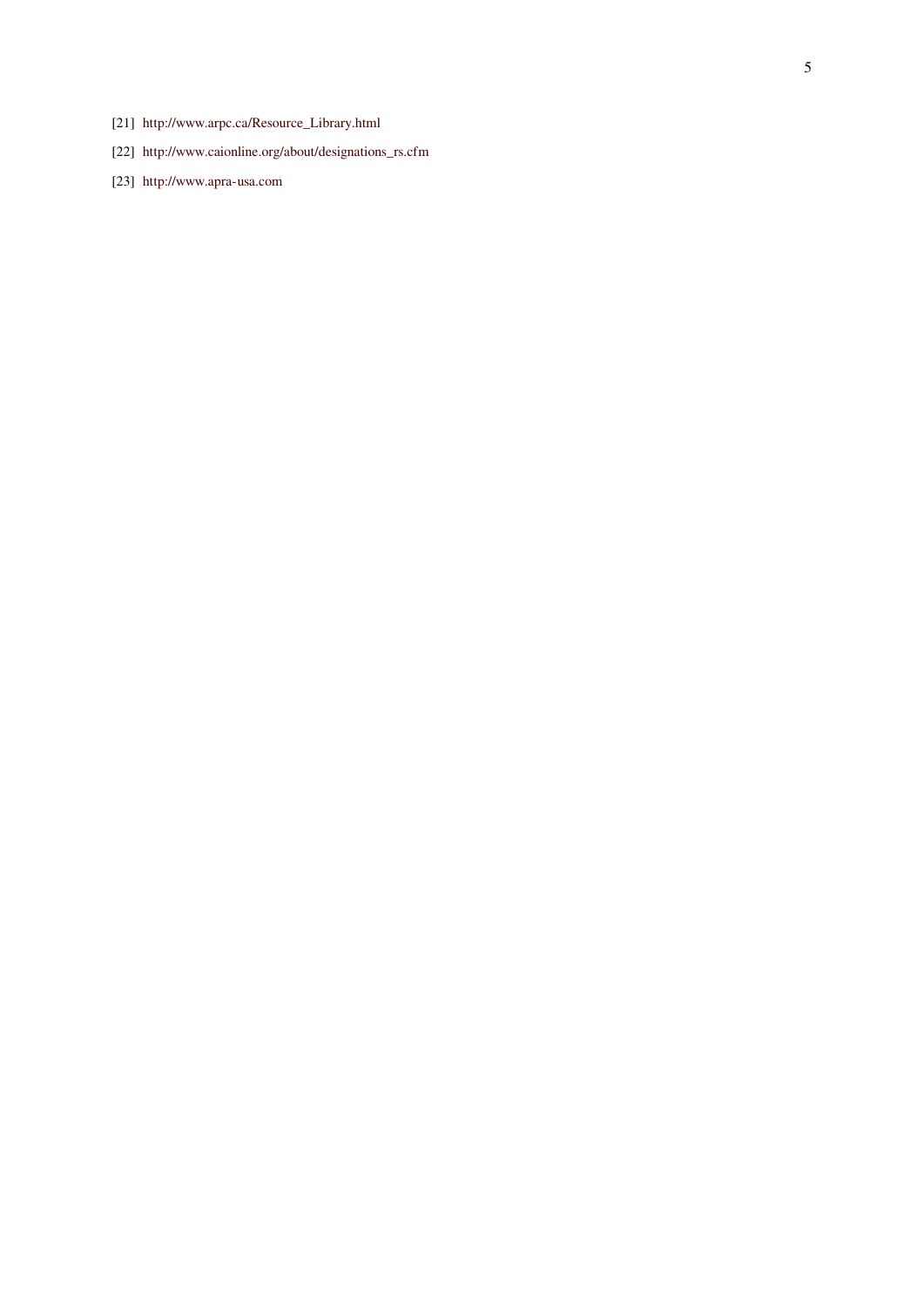- [21] http://www.arpc.ca/Resource\_Library.html
- [22] http://www.caionline.org/about/designations\_rs.cfm
- <span id="page-4-2"></span><span id="page-4-1"></span><span id="page-4-0"></span>[23] http://www.apra-usa.com